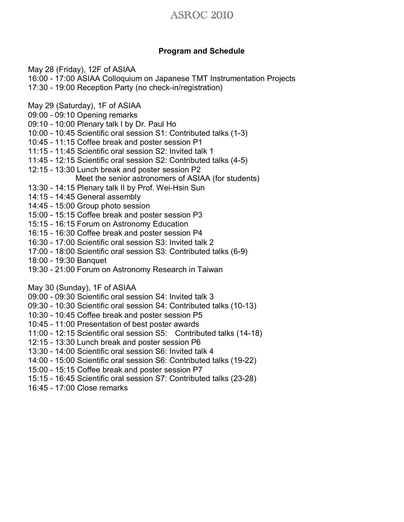### ASROC 2010

#### **Program and Schedule**

May 28 (Friday), 12F of ASIAA

- 16:00 17:00 ASIAA Colloquium on Japanese TMT Instrumentation Projects
- 17:30 19:00 Reception Party (no check-in/registration)
- May 29 (Saturday), 1F of ASIAA
- 09:00 09:10 Opening remarks
- 09:10 10:00 Plenary talk I by Dr. Paul Ho
- 10:00 10:45 Scientific oral session S1: Contributed talks (1-3)
- 10:45 11:15 Coffee break and poster session P1
- 11:15 11:45 Scientific oral session S2: Invited talk 1
- 11:45 12:15 Scientific oral session S2: Contributed talks (4-5)
- 12:15 13:30 Lunch break and poster session P2
	- Meet the senior astronomers of ASIAA (for students)
- 13:30 14:15 Plenary talk II by Prof. Wei-Hsin Sun
- 14:15 14:45 General assembly
- 14:45 15:00 Group photo session
- 15:00 15:15 Coffee break and poster session P3
- 15:15 16:15 Forum on Astronomy Education
- 16:15 16:30 Coffee break and poster session P4
- 16:30 17:00 Scientific oral session S3: Invited talk 2
- 17:00 18:00 Scientific oral session S3: Contributed talks (6-9)
- 18:00 19:30 Banquet
- 19:30 21:00 Forum on Astronomy Research in Taiwan

May 30 (Sunday), 1F of ASIAA

- 09:00 09:30 Scientific oral session S4: Invited talk 3
- 09:30 10:30 Scientific oral session S4: Contributed talks (10-13)
- 10:30 10:45 Coffee break and poster session P5
- 10:45 11:00 Presentation of best poster awards
- 11:00 12:15 Scientific oral session S5: Contributed talks (14-18)
- 12:15 13:30 Lunch break and poster session P6
- 13:30 14:00 Scientific oral session S6: Invited talk 4
- 14:00 15:00 Scientific oral session S6: Contributed talks (19-22)
- 15:00 15:15 Coffee break and poster session P7
- 15:15 16:45 Scientific oral session S7: Contributed talks (23-28)
- 16:45 17:00 Close remarks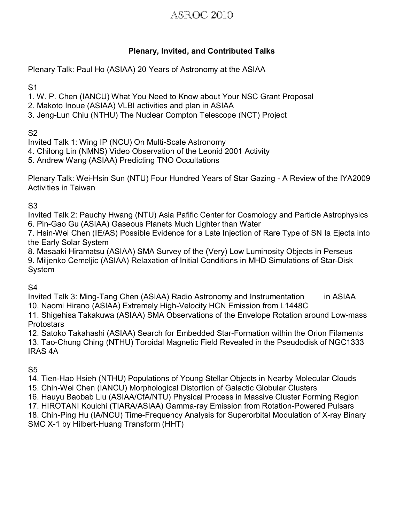# ASROC 2010

#### **Plenary, Invited, and Contributed Talks**

Plenary Talk: Paul Ho (ASIAA) 20 Years of Astronomy at the ASIAA

S1

- 1. W. P. Chen (IANCU) What You Need to Know about Your NSC Grant Proposal
- 2. Makoto Inoue (ASIAA) VLBI activities and plan in ASIAA
- 3. Jeng-Lun Chiu (NTHU) The Nuclear Compton Telescope (NCT) Project

S2

Invited Talk 1: Wing IP (NCU) On Multi-Scale Astronomy

- 4. Chilong Lin (NMNS) Video Observation of the Leonid 2001 Activity
- 5. Andrew Wang (ASIAA) Predicting TNO Occultations

Plenary Talk: Wei-Hsin Sun (NTU) Four Hundred Years of Star Gazing - A Review of the IYA2009 Activities in Taiwan

### S3

Invited Talk 2: Pauchy Hwang (NTU) Asia Pafific Center for Cosmology and Particle Astrophysics 6. Pin-Gao Gu (ASIAA) Gaseous Planets Much Lighter than Water

7. Hsin-Wei Chen (IE/AS) Possible Evidence for a Late Injection of Rare Type of SN Ia Ejecta into the Early Solar System

8. Masaaki Hiramatsu (ASIAA) SMA Survey of the (Very) Low Luminosity Objects in Perseus 9. Miljenko Cemeljic (ASIAA) Relaxation of Initial Conditions in MHD Simulations of Star-Disk System

### S4

Invited Talk 3: Ming-Tang Chen (ASIAA) Radio Astronomy and Instrumentation in ASIAA 10. Naomi Hirano (ASIAA) Extremely High-Velocity HCN Emission from L1448C

11. Shigehisa Takakuwa (ASIAA) SMA Observations of the Envelope Rotation around Low-mass **Protostars** 

12. Satoko Takahashi (ASIAA) Search for Embedded Star-Formation within the Orion Filaments 13. Tao-Chung Ching (NTHU) Toroidal Magnetic Field Revealed in the Pseudodisk of NGC1333 IRAS 4A

### S5

14. Tien-Hao Hsieh (NTHU) Populations of Young Stellar Objects in Nearby Molecular Clouds 15. Chin-Wei Chen (IANCU) Morphological Distortion of Galactic Globular Clusters 16. Hauyu Baobab Liu (ASIAA/CfA/NTU) Physical Process in Massive Cluster Forming Region 17. HIROTANI Kouichi (TIARA/ASIAA) Gamma-ray Emission from Rotation-Powered Pulsars 18. Chin-Ping Hu (IA/NCU) Time-Frequency Analysis for Superorbital Modulation of X-ray Binary SMC X-1 by Hilbert-Huang Transform (HHT)